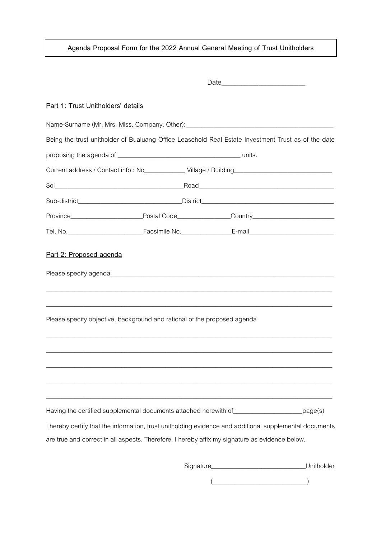**Agenda Proposal Form for the 2022 Annual General Meeting of Trust Unitholders**

| Part 1: Trust Unitholders' details |                                                                                                                                                                                                                                                                                               |  |            |
|------------------------------------|-----------------------------------------------------------------------------------------------------------------------------------------------------------------------------------------------------------------------------------------------------------------------------------------------|--|------------|
|                                    | Name-Surname (Mr, Mrs, Miss, Company, Other):___________________________________                                                                                                                                                                                                              |  |            |
|                                    | Being the trust unitholder of Bualuang Office Leasehold Real Estate Investment Trust as of the date                                                                                                                                                                                           |  |            |
|                                    |                                                                                                                                                                                                                                                                                               |  |            |
|                                    | Current address / Contact info.: No_____________Village / Building__________________________________                                                                                                                                                                                          |  |            |
|                                    |                                                                                                                                                                                                                                                                                               |  |            |
|                                    |                                                                                                                                                                                                                                                                                               |  |            |
|                                    |                                                                                                                                                                                                                                                                                               |  |            |
|                                    | Tel. No. 1990 - Tel. No. 2008 - Facsimile No. 2009 - E-mail E-mail E-mail Contract Contract Contract Contract Contract Contract Contract Contract Contract Contract Contract Contract Contract Contract Contract Contract Cont                                                                |  |            |
|                                    | Please specify objective, background and rational of the proposed agenda                                                                                                                                                                                                                      |  |            |
|                                    |                                                                                                                                                                                                                                                                                               |  |            |
|                                    | ,我们也不会有什么。""我们的人,我们也不会有什么?""我们的人,我们也不会有什么?""我们的人,我们也不会有什么?""我们的人,我们也不会有什么?""我们的人<br>Having the certified supplemental documents attached herewith of ______________________page(s)<br>I hereby certify that the information, trust unitholding evidence and additional supplemental documents |  |            |
|                                    | are true and correct in all aspects. Therefore, I hereby affix my signature as evidence below.                                                                                                                                                                                                |  |            |
|                                    |                                                                                                                                                                                                                                                                                               |  | Unitholder |

 $\overbrace{\hspace{2.5cm}}$